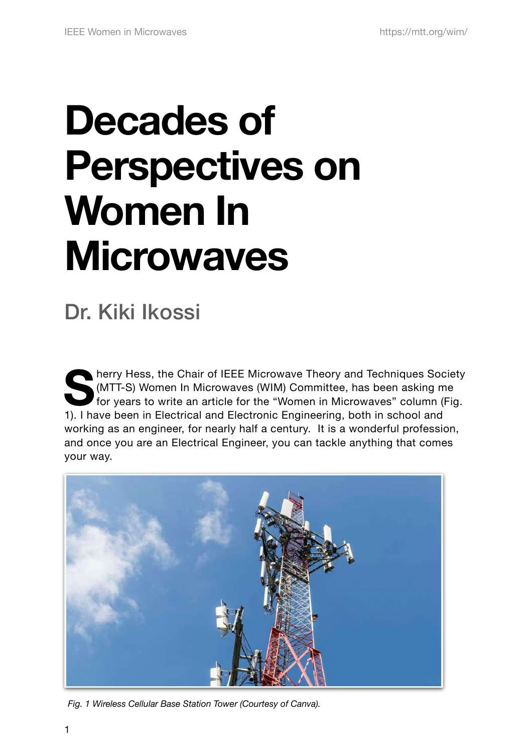# **Decades of Perspectives on Women In Microwaves**

# Dr. Kiki Ikossi

**Society** (MTT-S) Women In Microwaves (WIM) Committee, has been asking me<br>for years to write an article for the "Women in Microwaves" column (Fig.<br>1) I have been in Flastisel and Flastrania Facineering, both in asheel and (MTT-S) Women In Microwaves (WIM) Committee, has been asking me 1). I have been in Electrical and Electronic Engineering, both in school and working as an engineer, for nearly half a century. It is a wonderful profession, and once you are an Electrical Engineer, you can tackle anything that comes your way.



*Fig. 1 Wireless Cellular Base Station Tower (Courtesy of Canva).*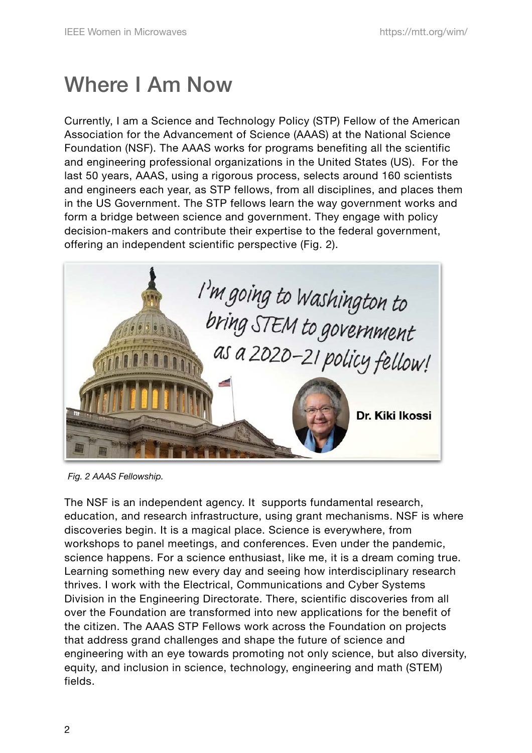## Where I Am Now

Currently, I am a Science and Technology Policy (STP) Fellow of the American Association for the Advancement of Science (AAAS) at the National Science Foundation (NSF). The AAAS works for programs benefiting all the scientific and engineering professional organizations in the United States (US). For the last 50 years, AAAS, using a rigorous process, selects around 160 scientists and engineers each year, as STP fellows, from all disciplines, and places them in the US Government. The STP fellows learn the way government works and form a bridge between science and government. They engage with policy decision-makers and contribute their expertise to the federal government, offering an independent scientific perspective (Fig. 2).



*Fig. 2 AAAS Fellowship.*

The NSF is an independent agency. It supports fundamental research, education, and research infrastructure, using grant mechanisms. NSF is where discoveries begin. It is a magical place. Science is everywhere, from workshops to panel meetings, and conferences. Even under the pandemic, science happens. For a science enthusiast, like me, it is a dream coming true. Learning something new every day and seeing how interdisciplinary research thrives. I work with the Electrical, Communications and Cyber Systems Division in the Engineering Directorate. There, scientific discoveries from all over the Foundation are transformed into new applications for the benefit of the citizen. The AAAS STP Fellows work across the Foundation on projects that address grand challenges and shape the future of science and engineering with an eye towards promoting not only science, but also diversity, equity, and inclusion in science, technology, engineering and math (STEM) fields.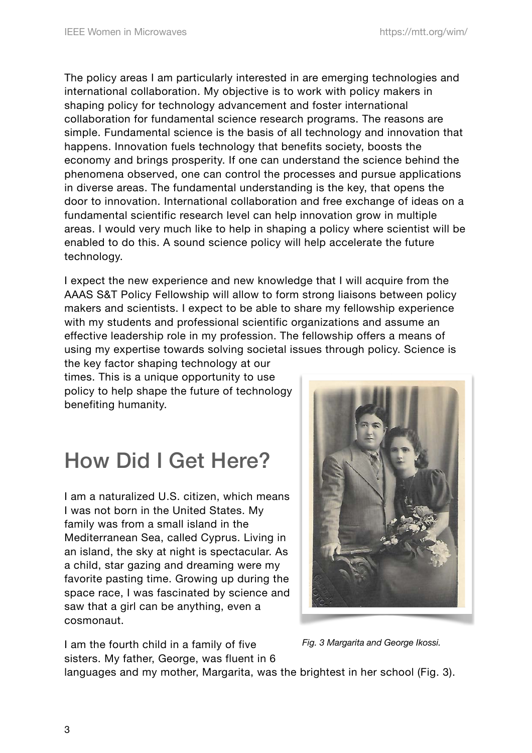The policy areas I am particularly interested in are emerging technologies and international collaboration. My objective is to work with policy makers in shaping policy for technology advancement and foster international collaboration for fundamental science research programs. The reasons are simple. Fundamental science is the basis of all technology and innovation that happens. Innovation fuels technology that benefits society, boosts the economy and brings prosperity. If one can understand the science behind the phenomena observed, one can control the processes and pursue applications in diverse areas. The fundamental understanding is the key, that opens the door to innovation. International collaboration and free exchange of ideas on a fundamental scientific research level can help innovation grow in multiple areas. I would very much like to help in shaping a policy where scientist will be enabled to do this. A sound science policy will help accelerate the future technology.

I expect the new experience and new knowledge that I will acquire from the AAAS S&T Policy Fellowship will allow to form strong liaisons between policy makers and scientists. I expect to be able to share my fellowship experience with my students and professional scientific organizations and assume an effective leadership role in my profession. The fellowship offers a means of using my expertise towards solving societal issues through policy. Science is

the key factor shaping technology at our times. This is a unique opportunity to use policy to help shape the future of technology benefiting humanity.

# How Did I Get Here?

I am a naturalized U.S. citizen, which means I was not born in the United States. My family was from a small island in the Mediterranean Sea, called Cyprus. Living in an island, the sky at night is spectacular. As a child, star gazing and dreaming were my favorite pasting time. Growing up during the space race, I was fascinated by science and saw that a girl can be anything, even a cosmonaut.

I am the fourth child in a family of five sisters. My father, George, was fluent in 6



*Fig. 3 Margarita and George Ikossi.*

languages and my mother, Margarita, was the brightest in her school (Fig. 3).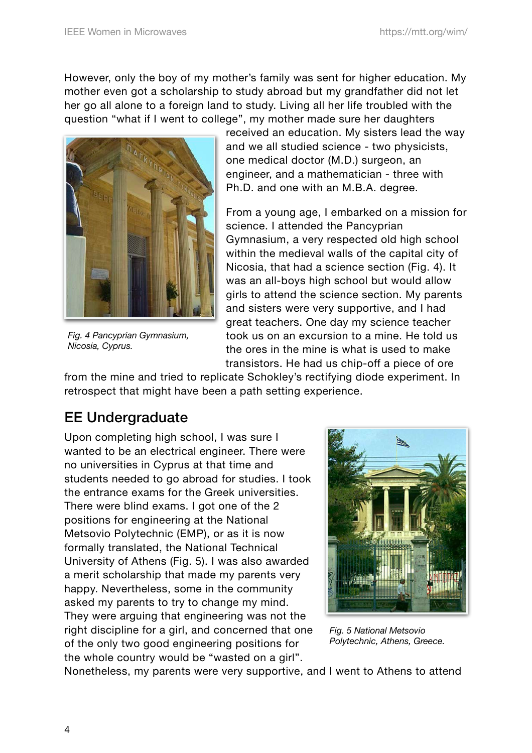However, only the boy of my mother's family was sent for higher education. My mother even got a scholarship to study abroad but my grandfather did not let her go all alone to a foreign land to study. Living all her life troubled with the question "what if I went to college", my mother made sure her daughters



*Fig. 4 Pancyprian Gymnasium, Nicosia, Cyprus.* 

received an education. My sisters lead the way and we all studied science - two physicists, one medical doctor (M.D.) surgeon, an engineer, and a mathematician - three with Ph.D. and one with an M.B.A. degree.

From a young age, I embarked on a mission for science. I attended the Pancyprian Gymnasium, a very respected old high school within the medieval walls of the capital city of Nicosia, that had a science section (Fig. 4). It was an all-boys high school but would allow girls to attend the science section. My parents and sisters were very supportive, and I had great teachers. One day my science teacher took us on an excursion to a mine. He told us the ores in the mine is what is used to make transistors. He had us chip-off a piece of ore

from the mine and tried to replicate Schokley's rectifying diode experiment. In retrospect that might have been a path setting experience.

#### EE Undergraduate

Upon completing high school, I was sure I wanted to be an electrical engineer. There were no universities in Cyprus at that time and students needed to go abroad for studies. I took the entrance exams for the Greek universities. There were blind exams. I got one of the 2 positions for engineering at the National Metsovio Polytechnic (EMP), or as it is now formally translated, the National Technical University of Athens (Fig. 5). I was also awarded a merit scholarship that made my parents very happy. Nevertheless, some in the community asked my parents to try to change my mind. They were arguing that engineering was not the right discipline for a girl, and concerned that one of the only two good engineering positions for the whole country would be "wasted on a girl".



*Fig. 5 National Metsovio Polytechnic, Athens, Greece.* 

Nonetheless, my parents were very supportive, and I went to Athens to attend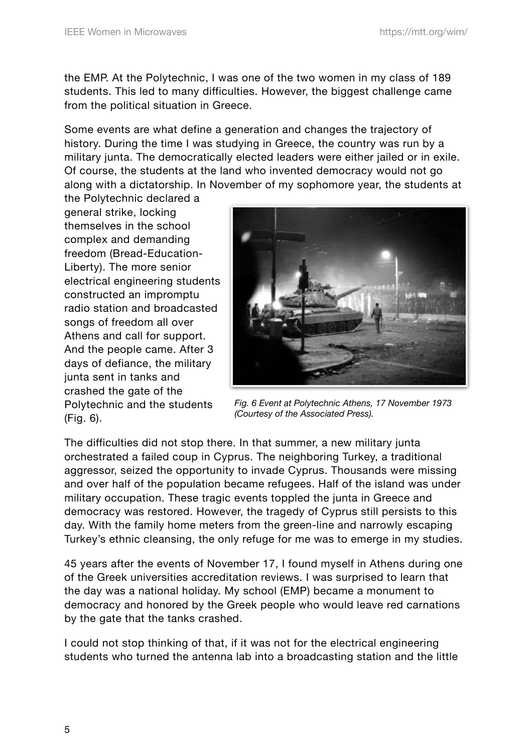the EMP. At the Polytechnic, I was one of the two women in my class of 189 students. This led to many difficulties. However, the biggest challenge came from the political situation in Greece.

Some events are what define a generation and changes the trajectory of history. During the time I was studying in Greece, the country was run by a military junta. The democratically elected leaders were either jailed or in exile. Of course, the students at the land who invented democracy would not go along with a dictatorship. In November of my sophomore year, the students at

the Polytechnic declared a general strike, locking themselves in the school complex and demanding freedom (Bread-Education-Liberty). The more senior electrical engineering students constructed an impromptu radio station and broadcasted songs of freedom all over Athens and call for support. And the people came. After 3 days of defiance, the military junta sent in tanks and crashed the gate of the Polytechnic and the students (Fig. 6).



*Fig. 6 Event at Polytechnic Athens, 17 November 1973 (Courtesy of the Associated Press).*

The difficulties did not stop there. In that summer, a new military junta orchestrated a failed coup in Cyprus. The neighboring Turkey, a traditional aggressor, seized the opportunity to invade Cyprus. Thousands were missing and over half of the population became refugees. Half of the island was under military occupation. These tragic events toppled the junta in Greece and democracy was restored. However, the tragedy of Cyprus still persists to this day. With the family home meters from the green-line and narrowly escaping Turkey's ethnic cleansing, the only refuge for me was to emerge in my studies.

45 years after the events of November 17, I found myself in Athens during one of the Greek universities accreditation reviews. I was surprised to learn that the day was a national holiday. My school (EMP) became a monument to democracy and honored by the Greek people who would leave red carnations by the gate that the tanks crashed.

I could not stop thinking of that, if it was not for the electrical engineering students who turned the antenna lab into a broadcasting station and the little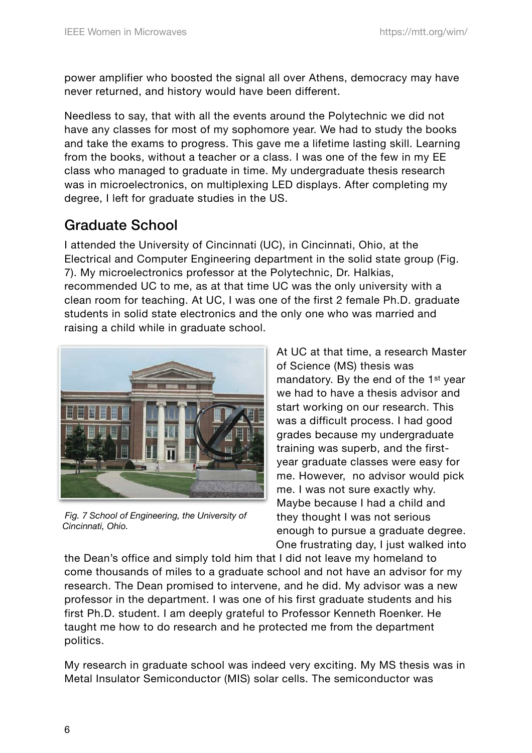power amplifier who boosted the signal all over Athens, democracy may have never returned, and history would have been different.

Needless to say, that with all the events around the Polytechnic we did not have any classes for most of my sophomore year. We had to study the books and take the exams to progress. This gave me a lifetime lasting skill. Learning from the books, without a teacher or a class. I was one of the few in my EE class who managed to graduate in time. My undergraduate thesis research was in microelectronics, on multiplexing LED displays. After completing my degree, I left for graduate studies in the US.

#### Graduate School

I attended the University of Cincinnati (UC), in Cincinnati, Ohio, at the Electrical and Computer Engineering department in the solid state group (Fig. 7). My microelectronics professor at the Polytechnic, Dr. Halkias, recommended UC to me, as at that time UC was the only university with a clean room for teaching. At UC, I was one of the first 2 female Ph.D. graduate students in solid state electronics and the only one who was married and raising a child while in graduate school.



 *Fig. 7 School of Engineering, the University of Cincinnati, Ohio.*

At UC at that time, a research Master of Science (MS) thesis was mandatory. By the end of the 1st year we had to have a thesis advisor and start working on our research. This was a difficult process. I had good grades because my undergraduate training was superb, and the firstyear graduate classes were easy for me. However, no advisor would pick me. I was not sure exactly why. Maybe because I had a child and they thought I was not serious enough to pursue a graduate degree. One frustrating day, I just walked into

the Dean's office and simply told him that I did not leave my homeland to come thousands of miles to a graduate school and not have an advisor for my research. The Dean promised to intervene, and he did. My advisor was a new professor in the department. I was one of his first graduate students and his first Ph.D. student. I am deeply grateful to Professor Kenneth Roenker. He taught me how to do research and he protected me from the department politics.

My research in graduate school was indeed very exciting. My MS thesis was in Metal Insulator Semiconductor (MIS) solar cells. The semiconductor was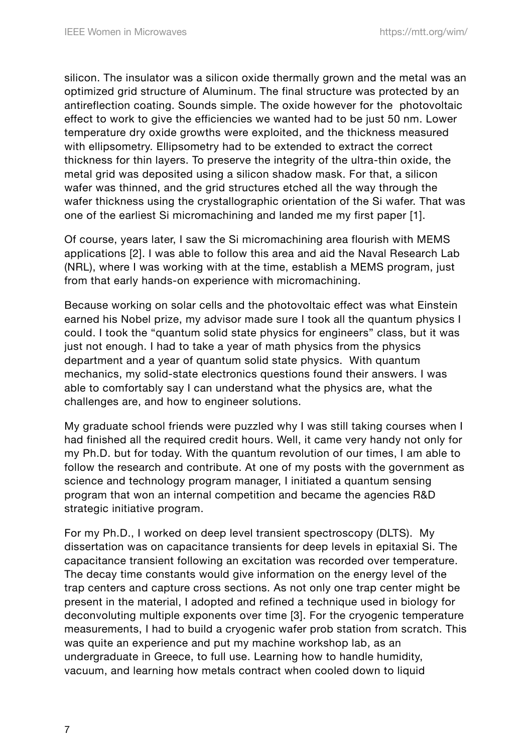silicon. The insulator was a silicon oxide thermally grown and the metal was an optimized grid structure of Aluminum. The final structure was protected by an antireflection coating. Sounds simple. The oxide however for the photovoltaic effect to work to give the efficiencies we wanted had to be just 50 nm. Lower temperature dry oxide growths were exploited, and the thickness measured with ellipsometry. Ellipsometry had to be extended to extract the correct thickness for thin layers. To preserve the integrity of the ultra-thin oxide, the metal grid was deposited using a silicon shadow mask. For that, a silicon wafer was thinned, and the grid structures etched all the way through the wafer thickness using the crystallographic orientation of the Si wafer. That was one of the earliest Si micromachining and landed me my first paper [1].

Of course, years later, I saw the Si micromachining area flourish with MEMS applications [2]. I was able to follow this area and aid the Naval Research Lab (NRL), where I was working with at the time, establish a MEMS program, just from that early hands-on experience with micromachining.

Because working on solar cells and the photovoltaic effect was what Einstein earned his Nobel prize, my advisor made sure I took all the quantum physics I could. I took the "quantum solid state physics for engineers" class, but it was just not enough. I had to take a year of math physics from the physics department and a year of quantum solid state physics. With quantum mechanics, my solid-state electronics questions found their answers. I was able to comfortably say I can understand what the physics are, what the challenges are, and how to engineer solutions.

My graduate school friends were puzzled why I was still taking courses when I had finished all the required credit hours. Well, it came very handy not only for my Ph.D. but for today. With the quantum revolution of our times, I am able to follow the research and contribute. At one of my posts with the government as science and technology program manager, I initiated a quantum sensing program that won an internal competition and became the agencies R&D strategic initiative program.

For my Ph.D., I worked on deep level transient spectroscopy (DLTS). My dissertation was on capacitance transients for deep levels in epitaxial Si. The capacitance transient following an excitation was recorded over temperature. The decay time constants would give information on the energy level of the trap centers and capture cross sections. As not only one trap center might be present in the material, I adopted and refined a technique used in biology for deconvoluting multiple exponents over time [3]. For the cryogenic temperature measurements, I had to build a cryogenic wafer prob station from scratch. This was quite an experience and put my machine workshop lab, as an undergraduate in Greece, to full use. Learning how to handle humidity, vacuum, and learning how metals contract when cooled down to liquid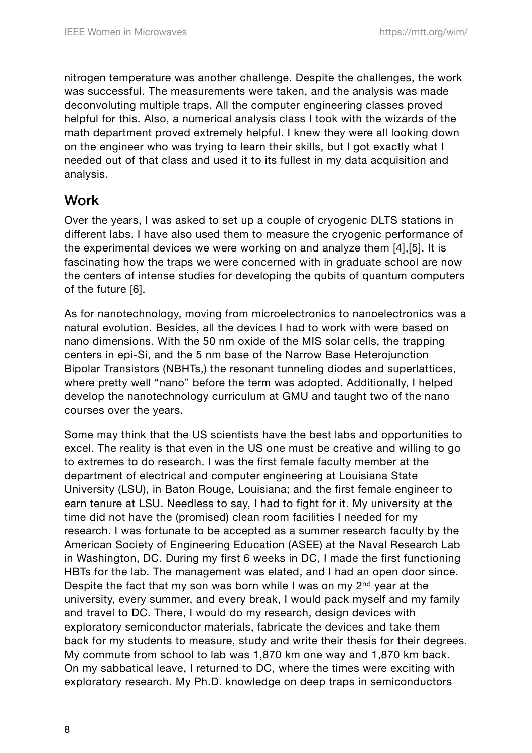nitrogen temperature was another challenge. Despite the challenges, the work was successful. The measurements were taken, and the analysis was made deconvoluting multiple traps. All the computer engineering classes proved helpful for this. Also, a numerical analysis class I took with the wizards of the math department proved extremely helpful. I knew they were all looking down on the engineer who was trying to learn their skills, but I got exactly what I needed out of that class and used it to its fullest in my data acquisition and analysis.

#### **Work**

Over the years, I was asked to set up a couple of cryogenic DLTS stations in different labs. I have also used them to measure the cryogenic performance of the experimental devices we were working on and analyze them [4],[5]. It is fascinating how the traps we were concerned with in graduate school are now the centers of intense studies for developing the qubits of quantum computers of the future [6].

As for nanotechnology, moving from microelectronics to nanoelectronics was a natural evolution. Besides, all the devices I had to work with were based on nano dimensions. With the 50 nm oxide of the MIS solar cells, the trapping centers in epi-Si, and the 5 nm base of the Narrow Base Heterojunction Bipolar Transistors (NBHTs,) the resonant tunneling diodes and superlattices, where pretty well "nano" before the term was adopted. Additionally, I helped develop the nanotechnology curriculum at GMU and taught two of the nano courses over the years.

Some may think that the US scientists have the best labs and opportunities to excel. The reality is that even in the US one must be creative and willing to go to extremes to do research. I was the first female faculty member at the department of electrical and computer engineering at Louisiana State University (LSU), in Baton Rouge, Louisiana; and the first female engineer to earn tenure at LSU. Needless to say, I had to fight for it. My university at the time did not have the (promised) clean room facilities I needed for my research. I was fortunate to be accepted as a summer research faculty by the American Society of Engineering Education (ASEE) at the Naval Research Lab in Washington, DC. During my first 6 weeks in DC, I made the first functioning HBTs for the lab. The management was elated, and I had an open door since. Despite the fact that my son was born while I was on my 2nd year at the university, every summer, and every break, I would pack myself and my family and travel to DC. There, I would do my research, design devices with exploratory semiconductor materials, fabricate the devices and take them back for my students to measure, study and write their thesis for their degrees. My commute from school to lab was 1,870 km one way and 1,870 km back. On my sabbatical leave, I returned to DC, where the times were exciting with exploratory research. My Ph.D. knowledge on deep traps in semiconductors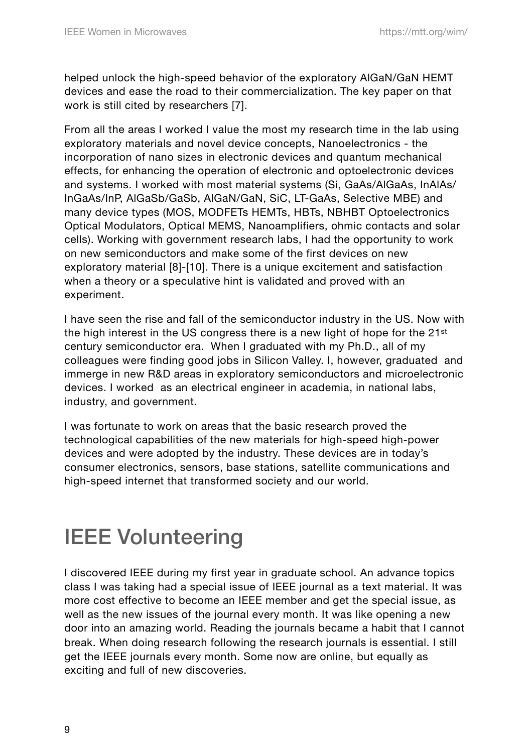helped unlock the high-speed behavior of the exploratory AlGaN/GaN HEMT devices and ease the road to their commercialization. The key paper on that work is still cited by researchers [7].

From all the areas I worked I value the most my research time in the lab using exploratory materials and novel device concepts, Nanoelectronics - the incorporation of nano sizes in electronic devices and quantum mechanical effects, for enhancing the operation of electronic and optoelectronic devices and systems. I worked with most material systems (Si, GaAs/AlGaAs, InAlAs/ InGaAs/InP, AlGaSb/GaSb, AlGaN/GaN, SiC, LT-GaAs, Selective MBE) and many device types (MOS, MODFETs HEMTs, HBTs, NBHBT Optoelectronics Optical Modulators, Optical MEMS, Nanoamplifiers, ohmic contacts and solar cells). Working with government research labs, I had the opportunity to work on new semiconductors and make some of the first devices on new exploratory material [8]-[10]. There is a unique excitement and satisfaction when a theory or a speculative hint is validated and proved with an experiment.

I have seen the rise and fall of the semiconductor industry in the US. Now with the high interest in the US congress there is a new light of hope for the 21<sup>st</sup> century semiconductor era. When I graduated with my Ph.D., all of my colleagues were finding good jobs in Silicon Valley. I, however, graduated and immerge in new R&D areas in exploratory semiconductors and microelectronic devices. I worked as an electrical engineer in academia, in national labs, industry, and government.

I was fortunate to work on areas that the basic research proved the technological capabilities of the new materials for high-speed high-power devices and were adopted by the industry. These devices are in today's consumer electronics, sensors, base stations, satellite communications and high-speed internet that transformed society and our world.

# IEEE Volunteering

I discovered IEEE during my first year in graduate school. An advance topics class I was taking had a special issue of IEEE journal as a text material. It was more cost effective to become an IEEE member and get the special issue, as well as the new issues of the journal every month. It was like opening a new door into an amazing world. Reading the journals became a habit that I cannot break. When doing research following the research journals is essential. I still get the IEEE journals every month. Some now are online, but equally as exciting and full of new discoveries.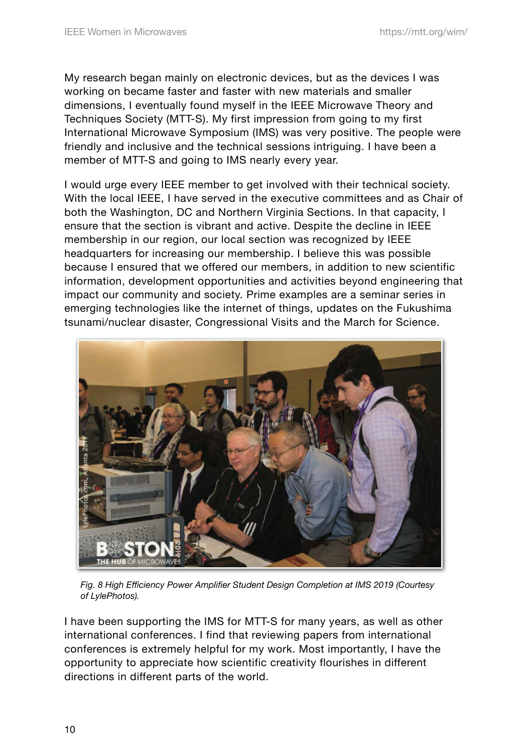My research began mainly on electronic devices, but as the devices I was working on became faster and faster with new materials and smaller dimensions, I eventually found myself in the IEEE Microwave Theory and Techniques Society (MTT-S). My first impression from going to my first International Microwave Symposium (IMS) was very positive. The people were friendly and inclusive and the technical sessions intriguing. I have been a member of MTT-S and going to IMS nearly every year.

I would urge every IEEE member to get involved with their technical society. With the local IEEE, I have served in the executive committees and as Chair of both the Washington, DC and Northern Virginia Sections. In that capacity, I ensure that the section is vibrant and active. Despite the decline in IEEE membership in our region, our local section was recognized by IEEE headquarters for increasing our membership. I believe this was possible because I ensured that we offered our members, in addition to new scientific information, development opportunities and activities beyond engineering that impact our community and society. Prime examples are a seminar series in emerging technologies like the internet of things, updates on the Fukushima tsunami/nuclear disaster, Congressional Visits and the March for Science.



*Fig. 8 High Efficiency Power Amplifier Student Design Completion at IMS 2019 (Courtesy of LylePhotos).*

I have been supporting the IMS for MTT-S for many years, as well as other international conferences. I find that reviewing papers from international conferences is extremely helpful for my work. Most importantly, I have the opportunity to appreciate how scientific creativity flourishes in different directions in different parts of the world.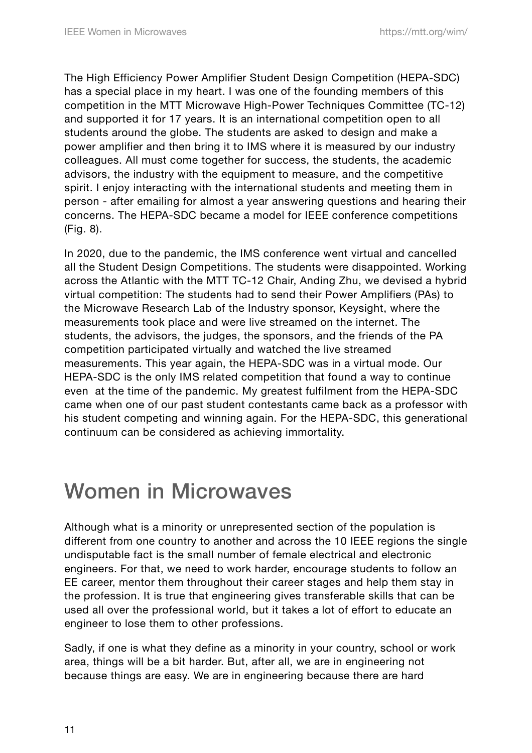The High Efficiency Power Amplifier Student Design Competition (HEPA-SDC) has a special place in my heart. I was one of the founding members of this competition in the MTT Microwave High-Power Techniques Committee (TC-12) and supported it for 17 years. It is an international competition open to all students around the globe. The students are asked to design and make a power amplifier and then bring it to IMS where it is measured by our industry colleagues. All must come together for success, the students, the academic advisors, the industry with the equipment to measure, and the competitive spirit. I enjoy interacting with the international students and meeting them in person - after emailing for almost a year answering questions and hearing their concerns. The HEPA-SDC became a model for IEEE conference competitions (Fig. 8).

In 2020, due to the pandemic, the IMS conference went virtual and cancelled all the Student Design Competitions. The students were disappointed. Working across the Atlantic with the MTT TC-12 Chair, Anding Zhu, we devised a hybrid virtual competition: The students had to send their Power Amplifiers (PAs) to the Microwave Research Lab of the Industry sponsor, Keysight, where the measurements took place and were live streamed on the internet. The students, the advisors, the judges, the sponsors, and the friends of the PA competition participated virtually and watched the live streamed measurements. This year again, the HEPA-SDC was in a virtual mode. Our HEPA-SDC is the only IMS related competition that found a way to continue even at the time of the pandemic. My greatest fulfilment from the HEPA-SDC came when one of our past student contestants came back as a professor with his student competing and winning again. For the HEPA-SDC, this generational continuum can be considered as achieving immortality.

# Women in Microwaves

Although what is a minority or unrepresented section of the population is different from one country to another and across the 10 IEEE regions the single undisputable fact is the small number of female electrical and electronic engineers. For that, we need to work harder, encourage students to follow an EE career, mentor them throughout their career stages and help them stay in the profession. It is true that engineering gives transferable skills that can be used all over the professional world, but it takes a lot of effort to educate an engineer to lose them to other professions.

Sadly, if one is what they define as a minority in your country, school or work area, things will be a bit harder. But, after all, we are in engineering not because things are easy. We are in engineering because there are hard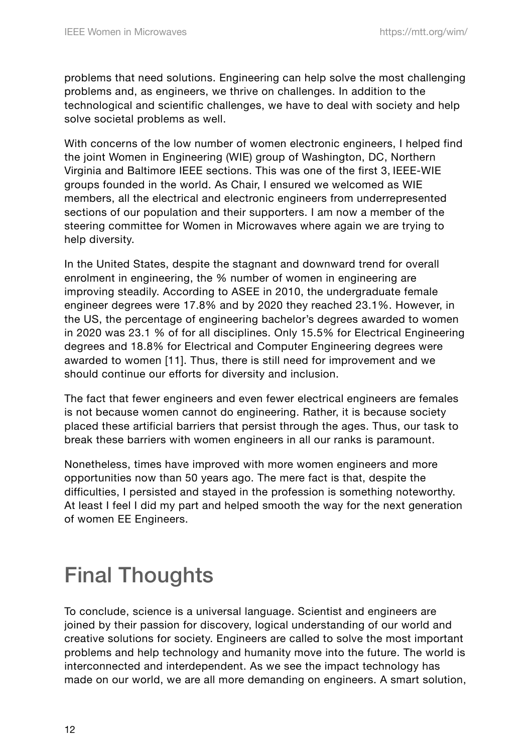problems that need solutions. Engineering can help solve the most challenging problems and, as engineers, we thrive on challenges. In addition to the technological and scientific challenges, we have to deal with society and help solve societal problems as well.

With concerns of the low number of women electronic engineers, I helped find the joint Women in Engineering (WIE) group of Washington, DC, Northern Virginia and Baltimore IEEE sections. This was one of the first 3, IEEE-WIE groups founded in the world. As Chair, I ensured we welcomed as WIE members, all the electrical and electronic engineers from underrepresented sections of our population and their supporters. I am now a member of the steering committee for Women in Microwaves where again we are trying to help diversity.

In the United States, despite the stagnant and downward trend for overall enrolment in engineering, the % number of women in engineering are improving steadily. According to ASEE in 2010, the undergraduate female engineer degrees were 17.8% and by 2020 they reached 23.1%. However, in the US, the percentage of engineering bachelor's degrees awarded to women in 2020 was 23.1 % of for all disciplines. Only 15.5% for Electrical Engineering degrees and 18.8% for Electrical and Computer Engineering degrees were awarded to women [11]. Thus, there is still need for improvement and we should continue our efforts for diversity and inclusion.

The fact that fewer engineers and even fewer electrical engineers are females is not because women cannot do engineering. Rather, it is because society placed these artificial barriers that persist through the ages. Thus, our task to break these barriers with women engineers in all our ranks is paramount.

Nonetheless, times have improved with more women engineers and more opportunities now than 50 years ago. The mere fact is that, despite the difficulties, I persisted and stayed in the profession is something noteworthy. At least I feel I did my part and helped smooth the way for the next generation of women EE Engineers.

# Final Thoughts

To conclude, science is a universal language. Scientist and engineers are joined by their passion for discovery, logical understanding of our world and creative solutions for society. Engineers are called to solve the most important problems and help technology and humanity move into the future. The world is interconnected and interdependent. As we see the impact technology has made on our world, we are all more demanding on engineers. A smart solution,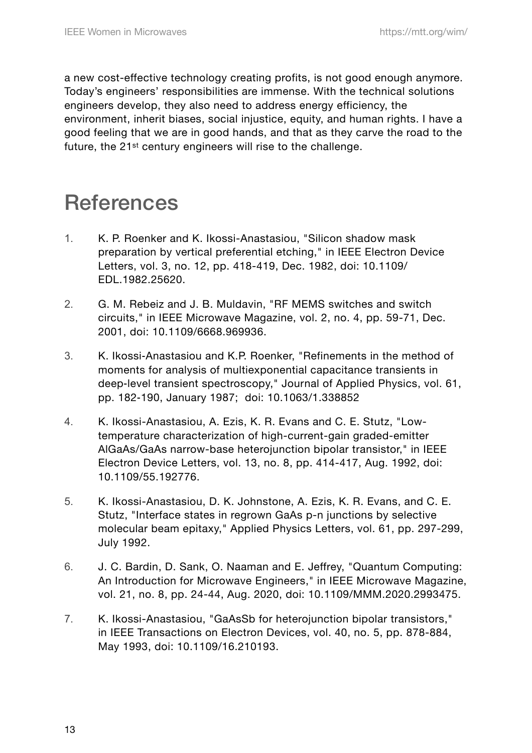a new cost-effective technology creating profits, is not good enough anymore. Today's engineers' responsibilities are immense. With the technical solutions engineers develop, they also need to address energy efficiency, the environment, inherit biases, social injustice, equity, and human rights. I have a good feeling that we are in good hands, and that as they carve the road to the future, the 21<sup>st</sup> century engineers will rise to the challenge.

# **References**

- 1. K. P. Roenker and K. Ikossi-Anastasiou, "Silicon shadow mask preparation by vertical preferential etching," in IEEE Electron Device Letters, vol. 3, no. 12, pp. 418-419, Dec. 1982, doi: 10.1109/ EDL.1982.25620.
- 2. G. M. Rebeiz and J. B. Muldavin, "RF MEMS switches and switch circuits," in IEEE Microwave Magazine, vol. 2, no. 4, pp. 59-71, Dec. 2001, doi: 10.1109/6668.969936.
- 3. K. Ikossi-Anastasiou and K.P. Roenker, "Refinements in the method of moments for analysis of multiexponential capacitance transients in deep‑level transient spectroscopy," Journal of Applied Physics, vol. 61, pp. 182‑190, January 1987; [doi: 10.1063/1.338852](https://doi.org/10.1063/1.338852)
- 4. K. Ikossi-Anastasiou, A. Ezis, K. R. Evans and C. E. Stutz, "Lowtemperature characterization of high-current-gain graded-emitter AlGaAs/GaAs narrow-base heterojunction bipolar transistor," in IEEE Electron Device Letters, vol. 13, no. 8, pp. 414-417, Aug. 1992, doi: 10.1109/55.192776.
- 5. K. Ikossi-Anastasiou, D. K. Johnstone, A. Ezis, K. R. Evans, and C. E. Stutz, "Interface states in regrown GaAs p-n junctions by selective molecular beam epitaxy," Applied Physics Letters, vol. 61, pp. 297-299, July 1992.
- 6. J. C. Bardin, D. Sank, O. Naaman and E. Jeffrey, "Quantum Computing: An Introduction for Microwave Engineers," in IEEE Microwave Magazine, vol. 21, no. 8, pp. 24-44, Aug. 2020, doi: 10.1109/MMM.2020.2993475.
- 7. K. Ikossi-Anastasiou, "GaAsSb for heterojunction bipolar transistors," in IEEE Transactions on Electron Devices, vol. 40, no. 5, pp. 878-884, May 1993, doi: 10.1109/16.210193.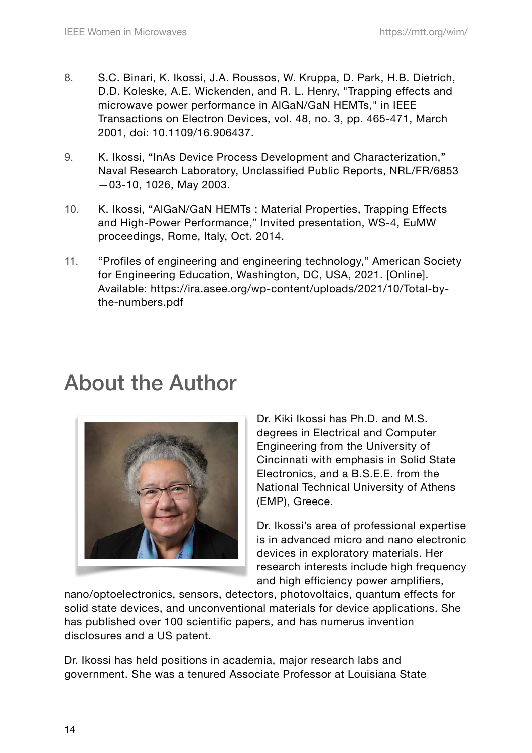- 8. S.C. Binari, K. Ikossi, J.A. Roussos, W. Kruppa, D. Park, H.B. Dietrich, D.D. Koleske, A.E. Wickenden, and R. L. Henry, "Trapping effects and microwave power performance in AlGaN/GaN HEMTs," in IEEE Transactions on Electron Devices, vol. 48, no. 3, pp. 465-471, March 2001, doi: 10.1109/16.906437.
- 9. K. Ikossi, "InAs Device Process Development and Characterization," Naval Research Laboratory, Unclassified Public Reports, NRL/FR/6853 —03-10, 1026, May 2003.
- 10. K. Ikossi, "AlGaN/GaN HEMTs : Material Properties, Trapping Effects and High-Power Performance," Invited presentation, WS-4, EuMW proceedings, Rome, Italy, Oct. 2014.
- 11. "Profiles of engineering and engineering technology," American Society for Engineering Education, Washington, DC, USA, 2021. [Online]. Available: https://ira.asee.org/wp-content/uploads/2021/10/Total-bythe-numbers.pdf

## About the Author



Dr. Kiki Ikossi has Ph.D. and M.S. degrees in Electrical and Computer Engineering from the University of Cincinnati with emphasis in Solid State Electronics, and a B.S.E.E. from the National Technical University of Athens (EMP), Greece.

Dr. Ikossi's area of professional expertise is in advanced micro and nano electronic devices in exploratory materials. Her research interests include high frequency and high efficiency power amplifiers,

nano/optoelectronics, sensors, detectors, photovoltaics, quantum effects for solid state devices, and unconventional materials for device applications. She has published over 100 scientific papers, and has numerus invention disclosures and a US patent.

Dr. Ikossi has held positions in academia, major research labs and government. She was a tenured Associate Professor at Louisiana State